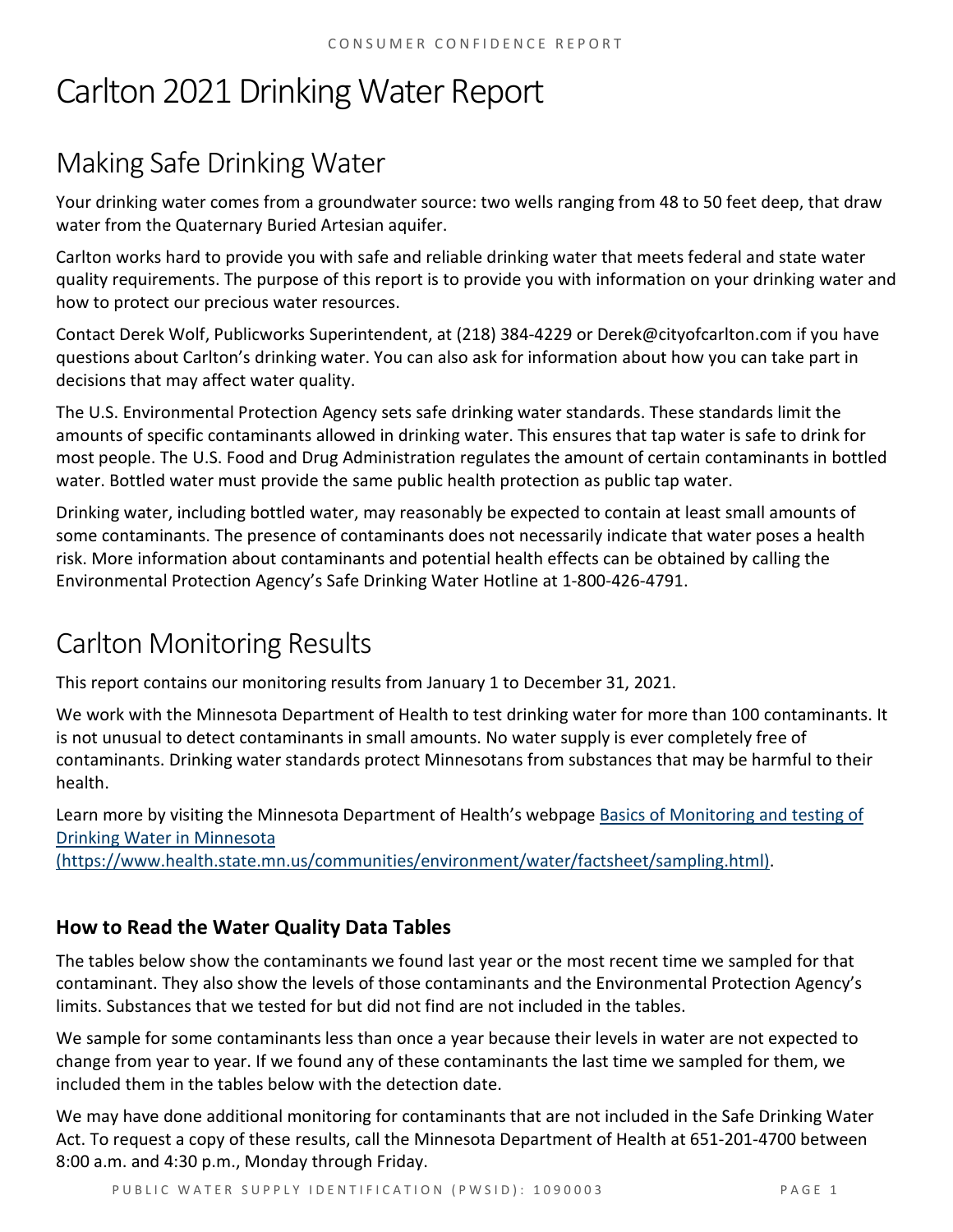# Carlton 2021 Drinking Water Report

# Making Safe Drinking Water

Your drinking water comes from a groundwater source: two wells ranging from 48 to 50 feet deep, that draw water from the Quaternary Buried Artesian aquifer.

Carlton works hard to provide you with safe and reliable drinking water that meets federal and state water quality requirements. The purpose of this report is to provide you with information on your drinking water and how to protect our precious water resources.

Contact Derek Wolf, Publicworks Superintendent, at (218) 384-4229 or Derek@cityofcarlton.com if you have questions about Carlton's drinking water. You can also ask for information about how you can take part in decisions that may affect water quality.

The U.S. Environmental Protection Agency sets safe drinking water standards. These standards limit the amounts of specific contaminants allowed in drinking water. This ensures that tap water is safe to drink for most people. The U.S. Food and Drug Administration regulates the amount of certain contaminants in bottled water. Bottled water must provide the same public health protection as public tap water.

Drinking water, including bottled water, may reasonably be expected to contain at least small amounts of some contaminants. The presence of contaminants does not necessarily indicate that water poses a health risk. More information about contaminants and potential health effects can be obtained by calling the Environmental Protection Agency's Safe Drinking Water Hotline at 1-800-426-4791.

# Carlton Monitoring Results

This report contains our monitoring results from January 1 to December 31, 2021.

We work with the Minnesota Department of Health to test drinking water for more than 100 contaminants. It is not unusual to detect contaminants in small amounts. No water supply is ever completely free of contaminants. Drinking water standards protect Minnesotans from substances that may be harmful to their health.

Learn more by visiting the Minnesota Department of Health's webpage [Basics of Monitoring and testing of](https://www.health.state.mn.us/communities/environment/water/factsheet/sampling.html)  [Drinking Water in Minnesota](https://www.health.state.mn.us/communities/environment/water/factsheet/sampling.html) 

[\(https://www.health.state.mn.us/communities/environment/water/factsheet/sampling.html\).](https://www.health.state.mn.us/communities/environment/water/factsheet/sampling.html)

## **How to Read the Water Quality Data Tables**

The tables below show the contaminants we found last year or the most recent time we sampled for that contaminant. They also show the levels of those contaminants and the Environmental Protection Agency's limits. Substances that we tested for but did not find are not included in the tables.

We sample for some contaminants less than once a year because their levels in water are not expected to change from year to year. If we found any of these contaminants the last time we sampled for them, we included them in the tables below with the detection date.

We may have done additional monitoring for contaminants that are not included in the Safe Drinking Water Act. To request a copy of these results, call the Minnesota Department of Health at 651-201-4700 between 8:00 a.m. and 4:30 p.m., Monday through Friday.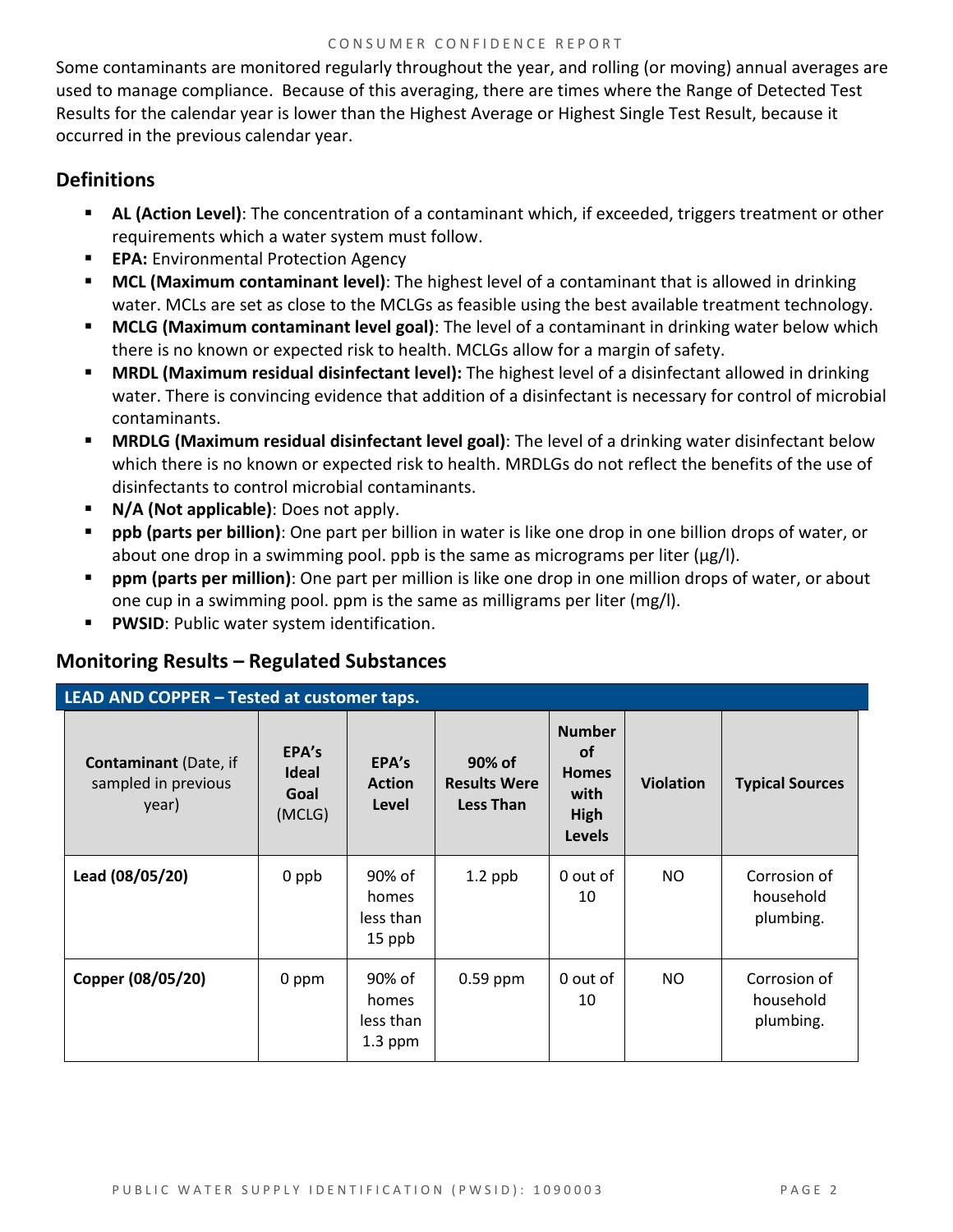Some contaminants are monitored regularly throughout the year, and rolling (or moving) annual averages are used to manage compliance. Because of this averaging, there are times where the Range of Detected Test Results for the calendar year is lower than the Highest Average or Highest Single Test Result, because it occurred in the previous calendar year.

#### **Definitions**

- **AL (Action Level)**: The concentration of a contaminant which, if exceeded, triggers treatment or other requirements which a water system must follow.
- **EPA:** Environmental Protection Agency
- **MCL (Maximum contaminant level)**: The highest level of a contaminant that is allowed in drinking water. MCLs are set as close to the MCLGs as feasible using the best available treatment technology.
- **MCLG (Maximum contaminant level goal)**: The level of a contaminant in drinking water below which there is no known or expected risk to health. MCLGs allow for a margin of safety.
- **MRDL (Maximum residual disinfectant level):** The highest level of a disinfectant allowed in drinking water. There is convincing evidence that addition of a disinfectant is necessary for control of microbial contaminants.
- **MRDLG (Maximum residual disinfectant level goal)**: The level of a drinking water disinfectant below which there is no known or expected risk to health. MRDLGs do not reflect the benefits of the use of disinfectants to control microbial contaminants.
- **N/A (Not applicable)**: Does not apply.
- **ppb (parts per billion)**: One part per billion in water is like one drop in one billion drops of water, or about one drop in a swimming pool. ppb is the same as micrograms per liter (μg/l).
- **ppm (parts per million)**: One part per million is like one drop in one million drops of water, or about one cup in a swimming pool. ppm is the same as milligrams per liter (mg/l).
- **PWSID**: Public water system identification.

#### **Monitoring Results – Regulated Substances**

| LEAD AND COPPER - Tested at customer taps.                   |                                         |                                           |                                                   |                                                                             |                  |                                        |  |
|--------------------------------------------------------------|-----------------------------------------|-------------------------------------------|---------------------------------------------------|-----------------------------------------------------------------------------|------------------|----------------------------------------|--|
| <b>Contaminant</b> (Date, if<br>sampled in previous<br>year) | EPA's<br><b>Ideal</b><br>Goal<br>(MCLG) | EPA's<br><b>Action</b><br>Level           | 90% of<br><b>Results Were</b><br><b>Less Than</b> | <b>Number</b><br><b>of</b><br><b>Homes</b><br>with<br>High<br><b>Levels</b> | <b>Violation</b> | <b>Typical Sources</b>                 |  |
| Lead (08/05/20)                                              | 0 ppb                                   | 90% of<br>homes<br>less than<br>15 ppb    | $1.2$ ppb                                         | 0 out of<br>10                                                              | NO.              | Corrosion of<br>household<br>plumbing. |  |
| Copper (08/05/20)                                            | 0 ppm                                   | 90% of<br>homes<br>less than<br>$1.3$ ppm | $0.59$ ppm                                        | 0 out of<br>10                                                              | <b>NO</b>        | Corrosion of<br>household<br>plumbing. |  |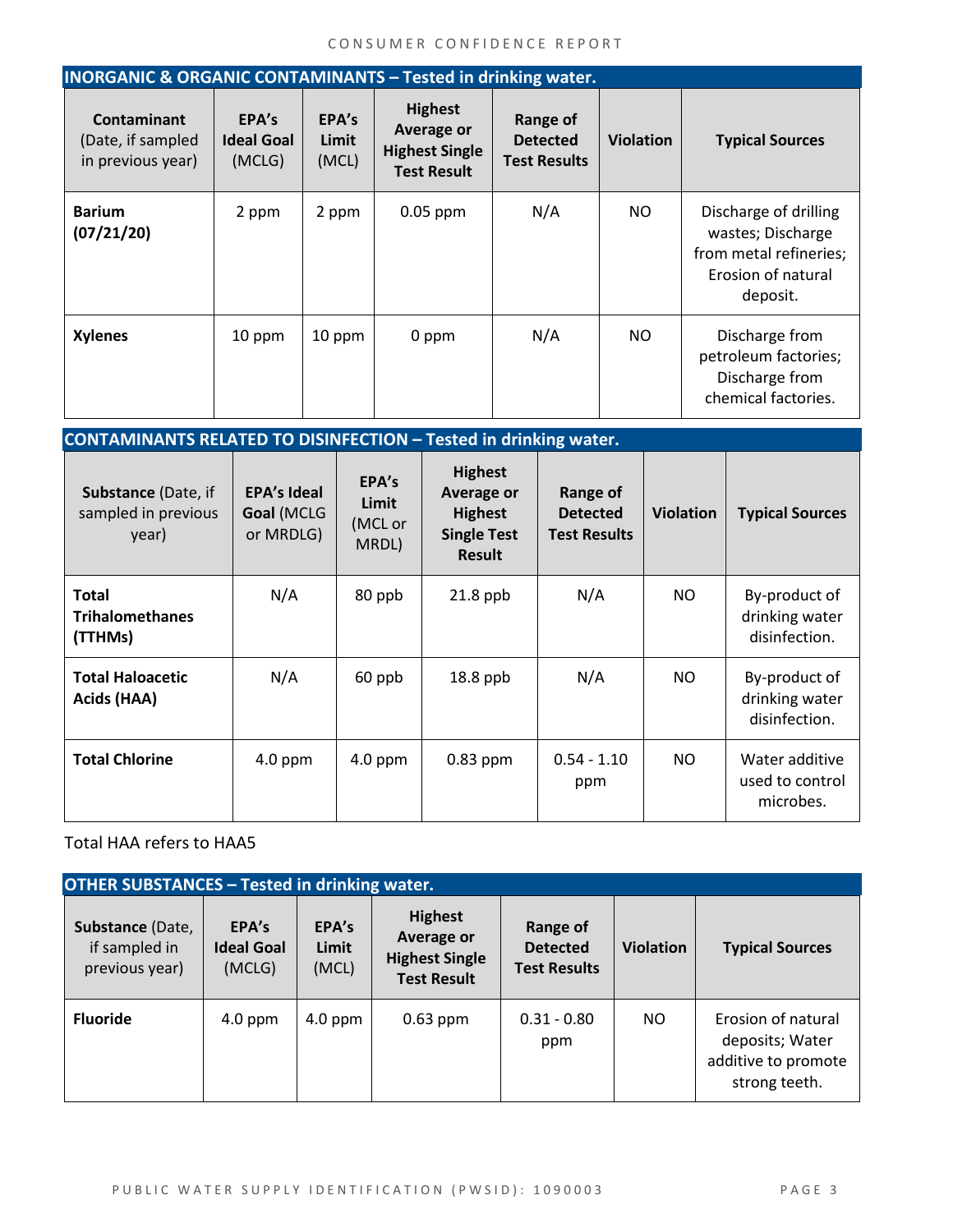| <b>INORGANIC &amp; ORGANIC CONTAMINANTS - Tested in drinking water.</b> |                                      |                         |                                                                                    |                                                    |                  |                                                                                                        |  |
|-------------------------------------------------------------------------|--------------------------------------|-------------------------|------------------------------------------------------------------------------------|----------------------------------------------------|------------------|--------------------------------------------------------------------------------------------------------|--|
| <b>Contaminant</b><br>(Date, if sampled<br>in previous year)            | EPA's<br><b>Ideal Goal</b><br>(MCLG) | EPA's<br>Limit<br>(MCL) | <b>Highest</b><br><b>Average or</b><br><b>Highest Single</b><br><b>Test Result</b> | Range of<br><b>Detected</b><br><b>Test Results</b> | <b>Violation</b> | <b>Typical Sources</b>                                                                                 |  |
| <b>Barium</b><br>(07/21/20)                                             | 2 ppm                                | 2 ppm                   | $0.05$ ppm                                                                         | N/A                                                | NO.              | Discharge of drilling<br>wastes; Discharge<br>from metal refineries;<br>Erosion of natural<br>deposit. |  |
| <b>Xylenes</b>                                                          | 10 ppm                               | 10 ppm                  | 0 ppm                                                                              | N/A                                                | NO.              | Discharge from<br>petroleum factories;<br>Discharge from<br>chemical factories.                        |  |

| <b>CONTAMINANTS RELATED TO DISINFECTION - Tested in drinking water.</b> |                                               |                                    |                                                                                       |                                                    |                  |                                                  |  |
|-------------------------------------------------------------------------|-----------------------------------------------|------------------------------------|---------------------------------------------------------------------------------------|----------------------------------------------------|------------------|--------------------------------------------------|--|
| Substance (Date, if<br>sampled in previous<br>year)                     | <b>EPA's Ideal</b><br>Goal (MCLG<br>or MRDLG) | EPA's<br>Limit<br>(MCL or<br>MRDL) | <b>Highest</b><br>Average or<br><b>Highest</b><br><b>Single Test</b><br><b>Result</b> | Range of<br><b>Detected</b><br><b>Test Results</b> | <b>Violation</b> | <b>Typical Sources</b>                           |  |
| <b>Total</b><br><b>Trihalomethanes</b><br>(TTHMs)                       | N/A                                           | 80 ppb                             | $21.8$ ppb                                                                            | N/A                                                | NO.              | By-product of<br>drinking water<br>disinfection. |  |
| <b>Total Haloacetic</b><br>Acids (HAA)                                  | N/A                                           | 60 ppb                             | $18.8$ ppb                                                                            | N/A                                                | NO.              | By-product of<br>drinking water<br>disinfection. |  |
| <b>Total Chlorine</b>                                                   | 4.0 ppm                                       | $4.0$ ppm                          | $0.83$ ppm                                                                            | $0.54 - 1.10$<br>ppm                               | NO.              | Water additive<br>used to control<br>microbes.   |  |

Total HAA refers to HAA5

| <b>OTHER SUBSTANCES - Tested in drinking water.</b> |                                      |                         |                                                                                    |                                                    |                  |                                                                               |  |  |
|-----------------------------------------------------|--------------------------------------|-------------------------|------------------------------------------------------------------------------------|----------------------------------------------------|------------------|-------------------------------------------------------------------------------|--|--|
| Substance (Date,<br>if sampled in<br>previous year) | EPA's<br><b>Ideal Goal</b><br>(MCLG) | EPA's<br>Limit<br>(MCL) | <b>Highest</b><br><b>Average or</b><br><b>Highest Single</b><br><b>Test Result</b> | Range of<br><b>Detected</b><br><b>Test Results</b> | <b>Violation</b> | <b>Typical Sources</b>                                                        |  |  |
| <b>Fluoride</b>                                     | $4.0$ ppm                            | $4.0$ ppm               | $0.63$ ppm                                                                         | $0.31 - 0.80$<br>ppm                               | NO.              | Erosion of natural<br>deposits; Water<br>additive to promote<br>strong teeth. |  |  |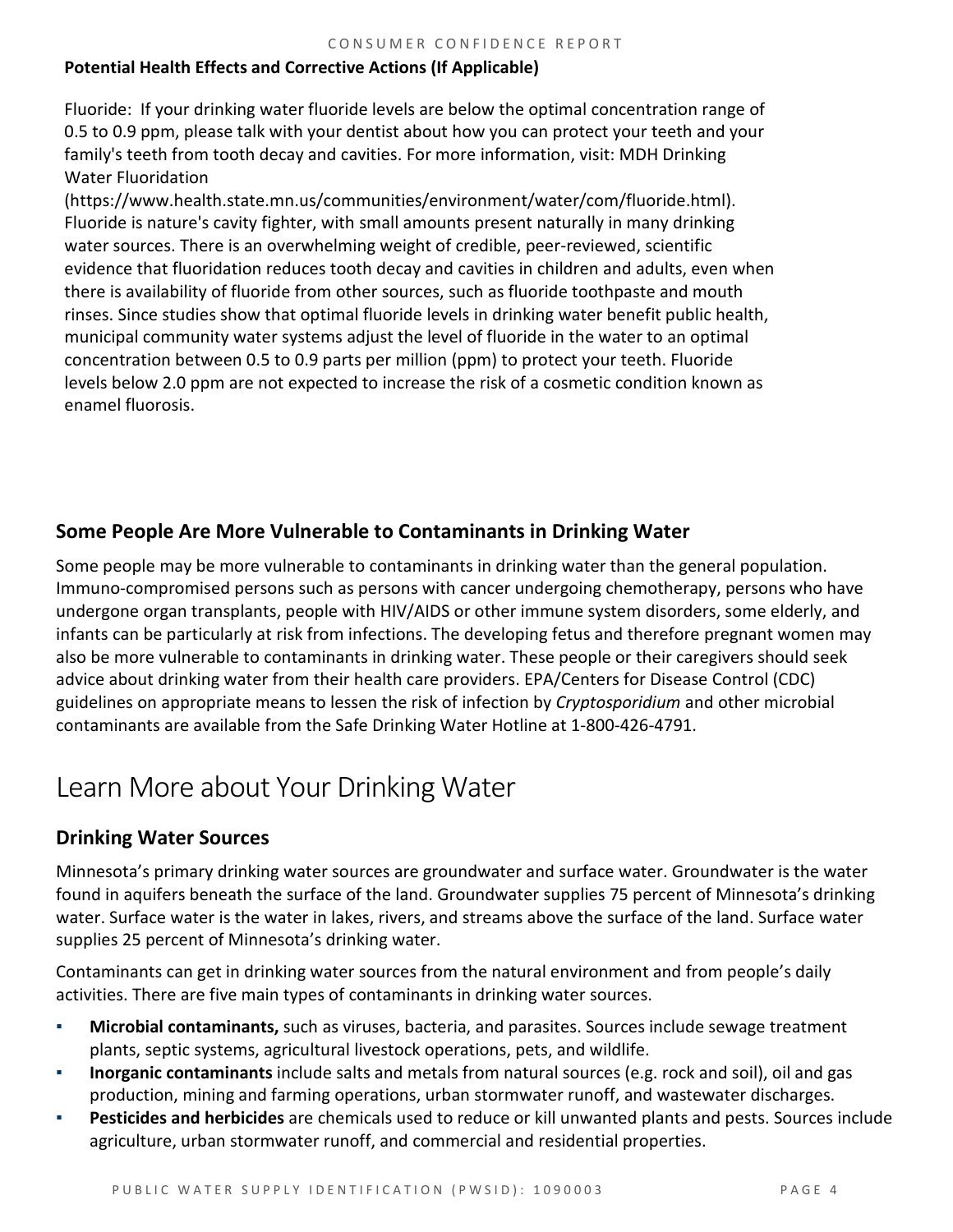#### **Potential Health Effects and Corrective Actions (If Applicable)**

Fluoride: If your drinking water fluoride levels are below the optimal concentration range of 0.5 to 0.9 ppm, please talk with your dentist about how you can protect your teeth and your family's teeth from tooth decay and cavities. For more information, visit: MDH Drinking Water Fluoridation

(https://www.health.state.mn.us/communities/environment/water/com/fluoride.html). Fluoride is nature's cavity fighter, with small amounts present naturally in many drinking water sources. There is an overwhelming weight of credible, peer-reviewed, scientific evidence that fluoridation reduces tooth decay and cavities in children and adults, even when there is availability of fluoride from other sources, such as fluoride toothpaste and mouth rinses. Since studies show that optimal fluoride levels in drinking water benefit public health, municipal community water systems adjust the level of fluoride in the water to an optimal concentration between 0.5 to 0.9 parts per million (ppm) to protect your teeth. Fluoride levels below 2.0 ppm are not expected to increase the risk of a cosmetic condition known as enamel fluorosis.

#### **Some People Are More Vulnerable to Contaminants in Drinking Water**

Some people may be more vulnerable to contaminants in drinking water than the general population. Immuno-compromised persons such as persons with cancer undergoing chemotherapy, persons who have undergone organ transplants, people with HIV/AIDS or other immune system disorders, some elderly, and infants can be particularly at risk from infections. The developing fetus and therefore pregnant women may also be more vulnerable to contaminants in drinking water. These people or their caregivers should seek advice about drinking water from their health care providers. EPA/Centers for Disease Control (CDC) guidelines on appropriate means to lessen the risk of infection by *Cryptosporidium* and other microbial contaminants are available from the Safe Drinking Water Hotline at 1-800-426-4791.

# Learn More about Your Drinking Water

#### **Drinking Water Sources**

Minnesota's primary drinking water sources are groundwater and surface water. Groundwater is the water found in aquifers beneath the surface of the land. Groundwater supplies 75 percent of Minnesota's drinking water. Surface water is the water in lakes, rivers, and streams above the surface of the land. Surface water supplies 25 percent of Minnesota's drinking water.

Contaminants can get in drinking water sources from the natural environment and from people's daily activities. There are five main types of contaminants in drinking water sources.

- **Microbial contaminants,** such as viruses, bacteria, and parasites. Sources include sewage treatment plants, septic systems, agricultural livestock operations, pets, and wildlife.
- **Inorganic contaminants** include salts and metals from natural sources (e.g. rock and soil), oil and gas production, mining and farming operations, urban stormwater runoff, and wastewater discharges.
- **Pesticides and herbicides** are chemicals used to reduce or kill unwanted plants and pests. Sources include agriculture, urban stormwater runoff, and commercial and residential properties.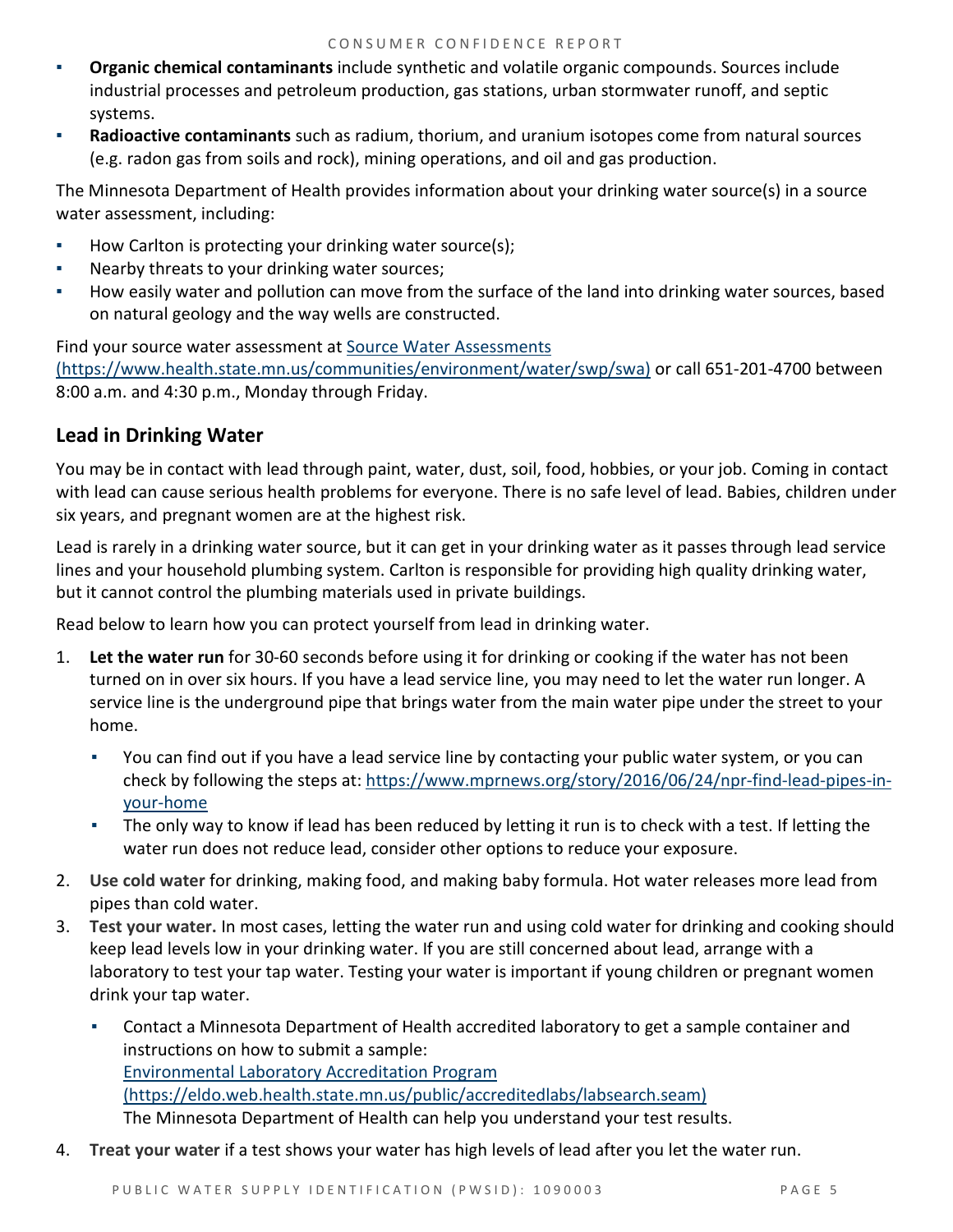- **Organic chemical contaminants** include synthetic and volatile organic compounds. Sources include industrial processes and petroleum production, gas stations, urban stormwater runoff, and septic systems.
- Radioactive contaminants such as radium, thorium, and uranium isotopes come from natural sources (e.g. radon gas from soils and rock), mining operations, and oil and gas production.

The Minnesota Department of Health provides information about your drinking water source(s) in a source water assessment, including:

- How Carlton is protecting your drinking water source(s);
- Nearby threats to your drinking water sources;
- How easily water and pollution can move from the surface of the land into drinking water sources, based on natural geology and the way wells are constructed.

Find your source water assessment a[t Source Water Assessments](https://www.health.state.mn.us/communities/environment/water/swp/swa)  [\(https://www.health.state.mn.us/communities/environment/water/swp/swa\)](https://www.health.state.mn.us/communities/environment/water/swp/swa) or call 651-201-4700 between 8:00 a.m. and 4:30 p.m., Monday through Friday.

## **Lead in Drinking Water**

You may be in contact with lead through paint, water, dust, soil, food, hobbies, or your job. Coming in contact with lead can cause serious health problems for everyone. There is no safe level of lead. Babies, children under six years, and pregnant women are at the highest risk.

Lead is rarely in a drinking water source, but it can get in your drinking water as it passes through lead service lines and your household plumbing system. Carlton is responsible for providing high quality drinking water, but it cannot control the plumbing materials used in private buildings.

Read below to learn how you can protect yourself from lead in drinking water.

- 1. **Let the water run** for 30-60 seconds before using it for drinking or cooking if the water has not been turned on in over six hours. If you have a lead service line, you may need to let the water run longer. A service line is the underground pipe that brings water from the main water pipe under the street to your home.
	- You can find out if you have a lead service line by contacting your public water system, or you can check by following the steps at: [https://www.mprnews.org/story/2016/06/24/npr-find-lead-pipes-in](https://www.mprnews.org/story/2016/06/24/npr-find-lead-pipes-in-your-home)[your-home](https://www.mprnews.org/story/2016/06/24/npr-find-lead-pipes-in-your-home)
	- The only way to know if lead has been reduced by letting it run is to check with a test. If letting the water run does not reduce lead, consider other options to reduce your exposure.
- 2. **Use cold water** for drinking, making food, and making baby formula. Hot water releases more lead from pipes than cold water.
- 3. **Test your water.** In most cases, letting the water run and using cold water for drinking and cooking should keep lead levels low in your drinking water. If you are still concerned about lead, arrange with a laboratory to test your tap water. Testing your water is important if young children or pregnant women drink your tap water.
	- **Contact a Minnesota Department of Health accredited laboratory to get a sample container and** instructions on how to submit a sample: [Environmental Laboratory Accreditation Program](https://eldo.web.health.state.mn.us/public/accreditedlabs/labsearch.seam)  [\(https://eldo.web.health.state.mn.us/public/accreditedlabs/labsearch.seam\)](https://eldo.web.health.state.mn.us/public/accreditedlabs/labsearch.seam)  The Minnesota Department of Health can help you understand your test results.
- 4. **Treat your water** if a test shows your water has high levels of lead after you let the water run.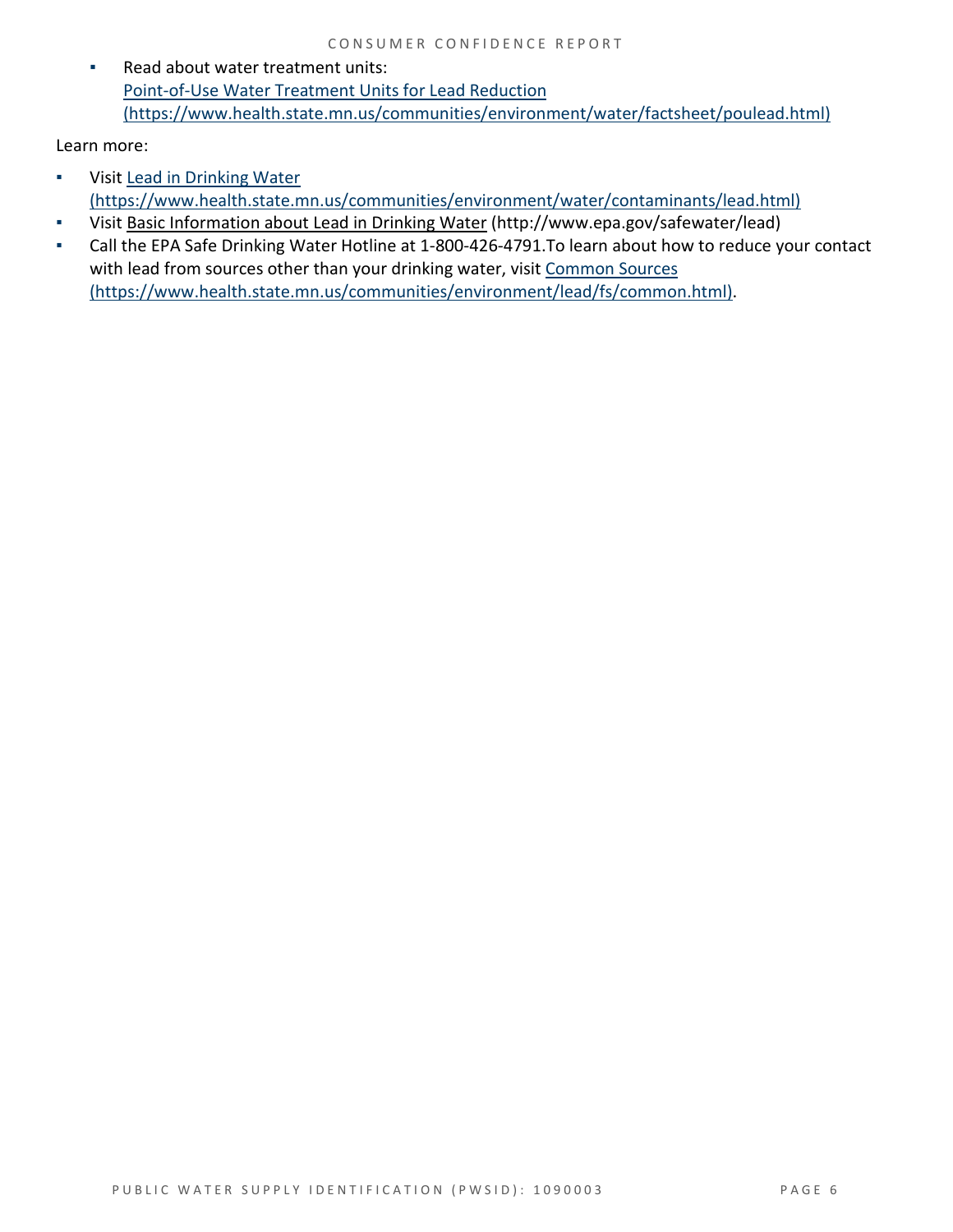▪ Read about water treatment units: [Point-of-Use Water Treatment Units for Lead Reduction](https://www.health.state.mn.us/communities/environment/water/factsheet/poulead.html)  [\(https://www.health.state.mn.us/communities/environment/water/factsheet/poulead.html\)](https://www.health.state.mn.us/communities/environment/water/factsheet/poulead.html)

Learn more:

- Visit [Lead in Drinking Water](https://www.health.state.mn.us/communities/environment/water/contaminants/lead.html)  [\(https://www.health.state.mn.us/communities/environment/water/contaminants/lead.html\)](https://www.health.state.mn.us/communities/environment/water/contaminants/lead.html)
- Visit [Basic Information about Lead in Drinking Water](http://www.epa.gov/safewater/lead) (http://www.epa.gov/safewater/lead)
- Call the EPA Safe Drinking Water Hotline at 1-800-426-4791.To learn about how to reduce your contact with lead from sources other than your drinking water, visit Common Sources [\(https://www.health.state.mn.us/communities/environment/lead/fs/common.html\).](https://www.health.state.mn.us/communities/environment/lead/fs/common.html)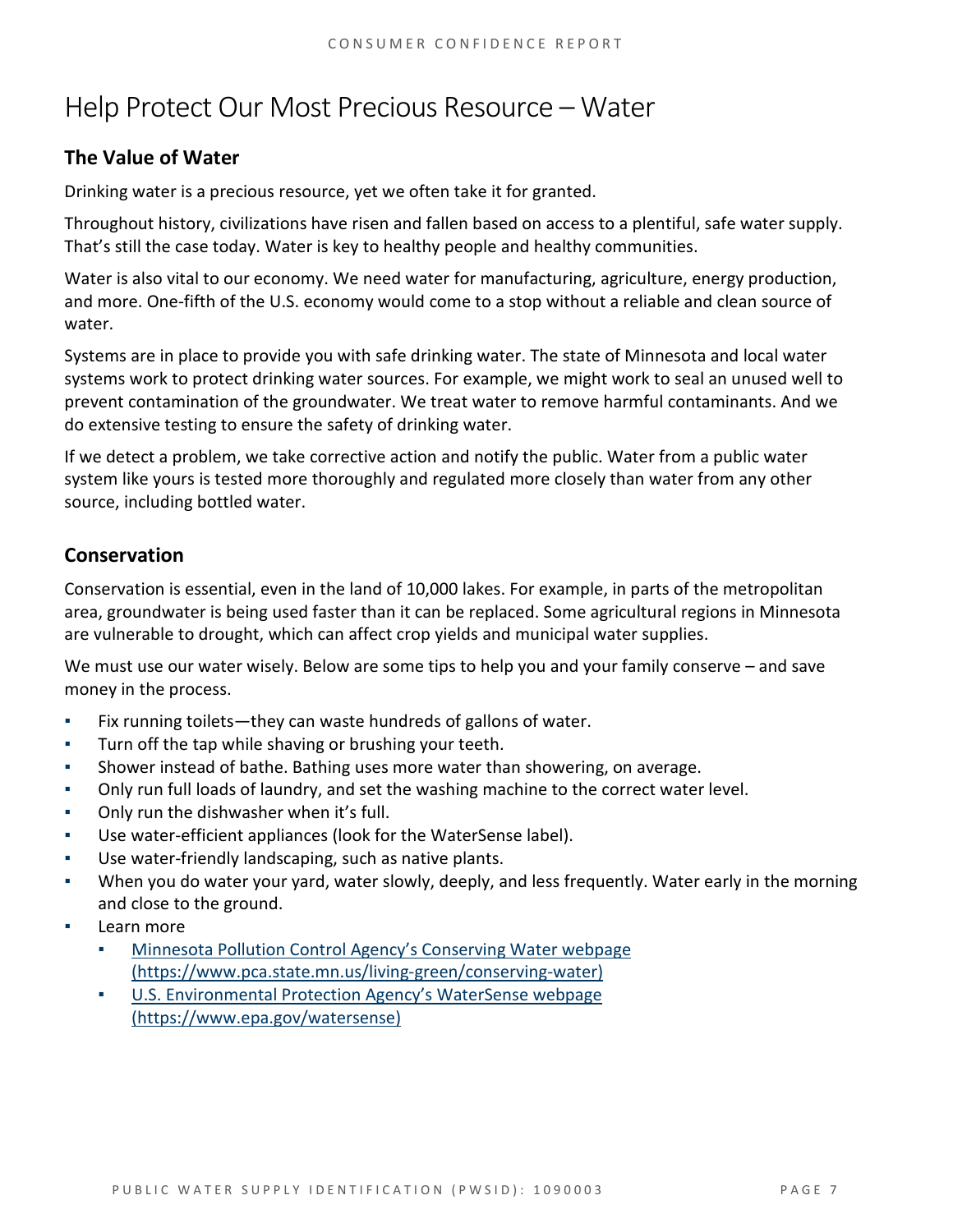# Help Protect Our Most Precious Resource – Water

## **The Value of Water**

Drinking water is a precious resource, yet we often take it for granted.

Throughout history, civilizations have risen and fallen based on access to a plentiful, safe water supply. That's still the case today. Water is key to healthy people and healthy communities.

Water is also vital to our economy. We need water for manufacturing, agriculture, energy production, and more. One-fifth of the U.S. economy would come to a stop without a reliable and clean source of water.

Systems are in place to provide you with safe drinking water. The state of Minnesota and local water systems work to protect drinking water sources. For example, we might work to seal an unused well to prevent contamination of the groundwater. We treat water to remove harmful contaminants. And we do extensive testing to ensure the safety of drinking water.

If we detect a problem, we take corrective action and notify the public. Water from a public water system like yours is tested more thoroughly and regulated more closely than water from any other source, including bottled water.

### **Conservation**

Conservation is essential, even in the land of 10,000 lakes. For example, in parts of the metropolitan area, groundwater is being used faster than it can be replaced. Some agricultural regions in Minnesota are vulnerable to drought, which can affect crop yields and municipal water supplies.

We must use our water wisely. Below are some tips to help you and your family conserve – and save money in the process.

- Fix running toilets—they can waste hundreds of gallons of water.
- Turn off the tap while shaving or brushing your teeth.
- Shower instead of bathe. Bathing uses more water than showering, on average.
- Only run full loads of laundry, and set the washing machine to the correct water level.
- Only run the dishwasher when it's full.
- Use water-efficient appliances (look for the WaterSense label).
- Use water-friendly landscaping, such as native plants.
- When you do water your yard, water slowly, deeply, and less frequently. Water early in the morning and close to the ground.
- Learn more
	- Minnesota Pollution Control Agency's Conserving Water webpage [\(https://www.pca.state.mn.us/living-green/conserving-water\)](https://www.pca.state.mn.us/living-green/conserving-water)
	- [U.S. Environmental Protection Agency's WaterSense webpage](https://www.epa.gov/watersense)  [\(https://www.epa.gov/watersense\)](https://www.epa.gov/watersense)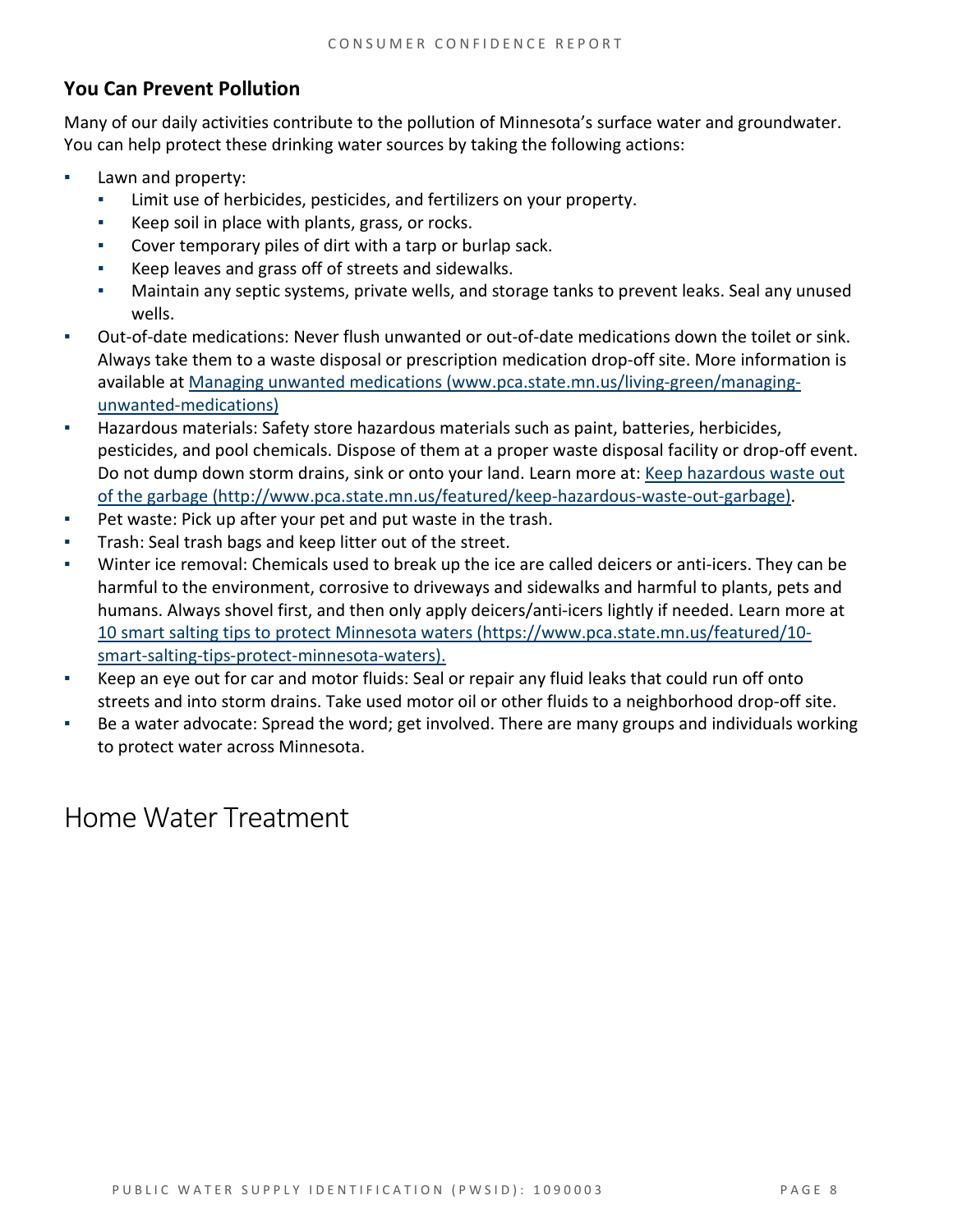#### **You Can Prevent Pollution**

Many of our daily activities contribute to the pollution of Minnesota's surface water and groundwater. You can help protect these drinking water sources by taking the following actions:

- Lawn and property:
	- Limit use of herbicides, pesticides, and fertilizers on your property.
	- Keep soil in place with plants, grass, or rocks.
	- Cover temporary piles of dirt with a tarp or burlap sack.
	- Keep leaves and grass off of streets and sidewalks.
	- Maintain any septic systems, private wells, and storage tanks to prevent leaks. Seal any unused wells.
- Out-of-date medications: Never flush unwanted or out-of-date medications down the toilet or sink. Always take them to a waste disposal or prescription medication drop-off site. More information is available at [Managing unwanted medications \(www.pca.state.mn.us/living-green/managing](http://www.pca.state.mn.us/living-green/managing-unwanted-medications)[unwanted-medications\)](http://www.pca.state.mn.us/living-green/managing-unwanted-medications)
- Hazardous materials: Safety store hazardous materials such as paint, batteries, herbicides, pesticides, and pool chemicals. Dispose of them at a proper waste disposal facility or drop-off event. Do not dump down storm drains, sink or onto your land. Learn more at: [Keep hazardous waste out](http://www.pca.state.mn.us/featured/keep-hazardous-waste-out-garbage)  [of the garbage \(http://www.pca.state.mn.us/featured/keep-hazardous-waste-out-garbage\).](http://www.pca.state.mn.us/featured/keep-hazardous-waste-out-garbage)
- Pet waste: Pick up after your pet and put waste in the trash.
- Trash: Seal trash bags and keep litter out of the street.
- Winter ice removal: Chemicals used to break up the ice are called deicers or anti-icers. They can be harmful to the environment, corrosive to driveways and sidewalks and harmful to plants, pets and humans. Always shovel first, and then only apply deicers/anti-icers lightly if needed. Learn more at [10 smart salting tips to protect Minnesota waters \(https://www.pca.state.mn.us/featured/10](https://www.pca.state.mn.us/featured/10-smart-salting-tips-protect-minnesota-waters) [smart-salting-tips-protect-minnesota-waters\).](https://www.pca.state.mn.us/featured/10-smart-salting-tips-protect-minnesota-waters)
- Keep an eye out for car and motor fluids: Seal or repair any fluid leaks that could run off onto streets and into storm drains. Take used motor oil or other fluids to a neighborhood drop-off site.
- Be a water advocate: Spread the word; get involved. There are many groups and individuals working to protect water across Minnesota.

## Home Water Treatment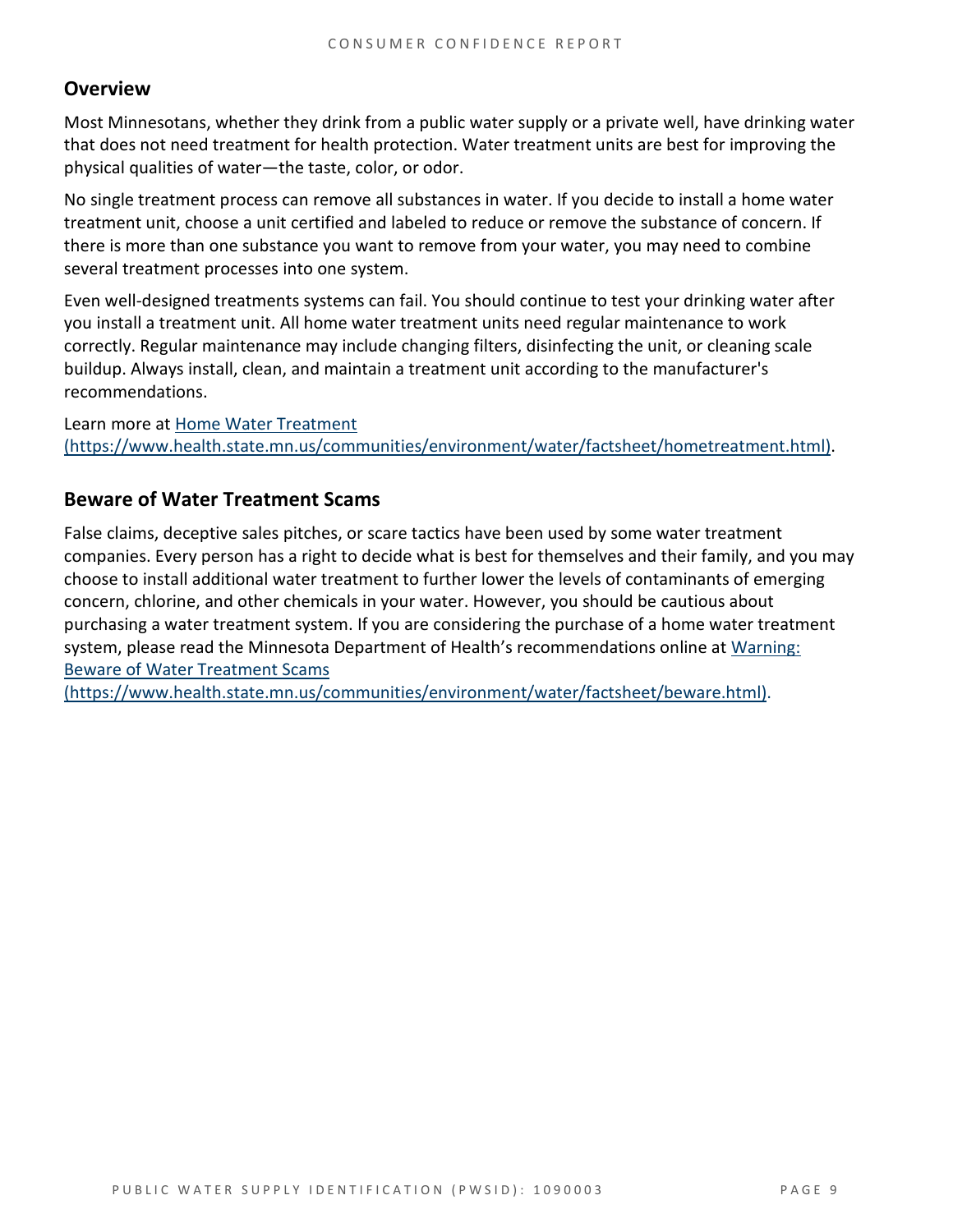#### **Overview**

Most Minnesotans, whether they drink from a public water supply or a private well, have drinking water that does not need treatment for health protection. Water treatment units are best for improving the physical qualities of water—the taste, color, or odor.

No single treatment process can remove all substances in water. If you decide to install a home water treatment unit, choose a unit certified and labeled to reduce or remove the substance of concern. If there is more than one substance you want to remove from your water, you may need to combine several treatment processes into one system.

Even well-designed treatments systems can fail. You should continue to test your drinking water after you install a treatment unit. All home water treatment units need regular maintenance to work correctly. Regular maintenance may include changing filters, disinfecting the unit, or cleaning scale buildup. Always install, clean, and maintain a treatment unit according to the manufacturer's recommendations.

Learn more at [Home Water Treatment](https://www.health.state.mn.us/communities/environment/water/factsheet/hometreatment.html)  [\(https://www.health.state.mn.us/communities/environment/water/factsheet/hometreatment.html\).](https://www.health.state.mn.us/communities/environment/water/factsheet/hometreatment.html)

#### **Beware of Water Treatment Scams**

False claims, deceptive sales pitches, or scare tactics have been used by some water treatment companies. Every person has a right to decide what is best for themselves and their family, and you may choose to install additional water treatment to further lower the levels of contaminants of emerging concern, chlorine, and other chemicals in your water. However, you should be cautious about purchasing a water treatment system. If you are considering the purchase of a home water treatment system, please read the Minnesota Department of Health's recommendations online at [Warning:](https://www.health.state.mn.us/communities/environment/water/factsheet/beware.html)  [Beware of Water Treatment Scams](https://www.health.state.mn.us/communities/environment/water/factsheet/beware.html) 

[\(https://www.health.state.mn.us/communities/environment/water/factsheet/beware.html\).](https://www.health.state.mn.us/communities/environment/water/factsheet/beware.html)